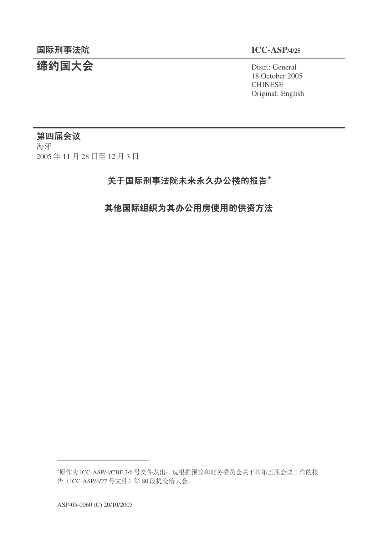## 统约国大会 **District General**

18 October 2005 **CHINESE** Original: English

## 第四届会议

海牙 2005年11月28日至12月3日

## 关于国际刑事法院未来永久办公楼的报告\*

其他国际组织为其办公用房使用的供资方法

<sup>\*</sup>原作为 ICC-ASP/4/CBF.2/6 号文件发出; 现根据预算和财务委员会关于其第五届会议工作的报 告 (ICC-ASP/4/27 号文件) 第 80 段提交给大会。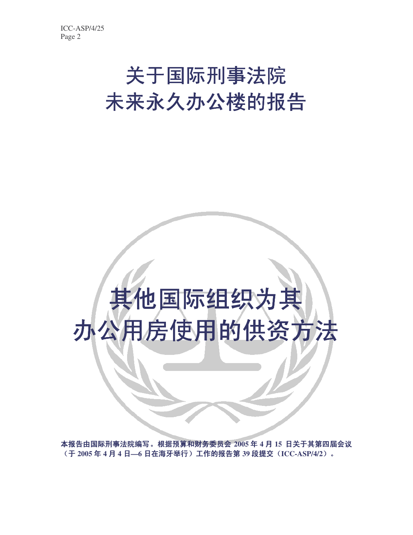## 关于国际刑事法院 未来永久办公楼的报告

# 其他国际组织为其 办公用房使用的供资方法

本报告由国际刑事法院编写。根据预算和财务委员会 2005 年 4 月 15 日关于其第四届会议 (于 2005年4月4日-6日在海牙举行)工作的报告第39段提交(ICC-ASP/4/2)。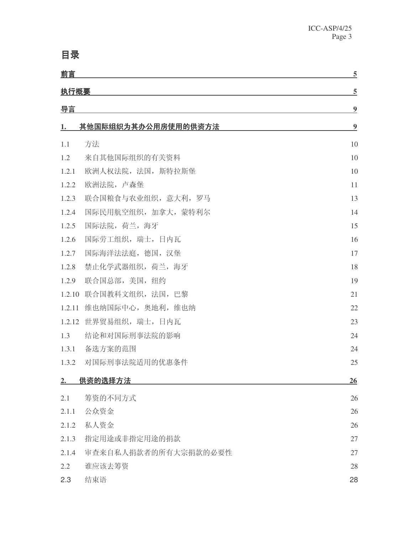## **目录**

| 前言          |                      | $\overline{5}$   |
|-------------|----------------------|------------------|
| <u>执行概要</u> |                      | $\overline{5}$   |
| 导言          |                      | $\boldsymbol{9}$ |
| 1.          | 其他国际组织为其办公用房使用的供资方法  | $\boldsymbol{9}$ |
| 1.1         | 方法                   | 10               |
| 1.2         | 来自其他国际组织的有关资料        | 10               |
| 1.2.1       | 欧洲人权法院, 法国, 斯特拉斯堡    | 10               |
| 1.2.2       | 欧洲法院, 卢森堡            | 11               |
| 1.2.3       | 联合国粮食与农业组织, 意大利, 罗马  | 13               |
| 1.2.4       | 国际民用航空组织, 加拿大, 蒙特利尔  | 14               |
| 1.2.5       | 国际法院, 荷兰, 海牙         | 15               |
| 1.2.6       | 国际劳工组织, 瑞士, 日内瓦      | 16               |
| 1.2.7       | 国际海洋法法庭, 德国, 汉堡      | 17               |
| 1.2.8       | 禁止化学武器组织, 荷兰, 海牙     | 18               |
| 1.2.9       | 联合国总部,美国,纽约          | 19               |
| 1.2.10      | 联合国教科文组织, 法国, 巴黎     | 21               |
| 1.2.11      | 维也纳国际中心, 奥地利, 维也纳    | 22               |
| 1.2.12      | 世界贸易组织, 瑞士, 日内瓦      | 23               |
| 1.3         | 结论和对国际刑事法院的影响        | 24               |
| 1.3.1       | 备选方案的范围              | 24               |
| 1.3.2       | 对国际刑事法院适用的优惠条件       | 25               |
| $2_{\cdot}$ | <u>供资的选择方法</u>       | 26               |
| 2.1         | 筹资的不同方式              | 26               |
| 2.1.1       | 公众资金                 | 26               |
| 2.1.2       | 私人资金                 | 26               |
| 2.1.3       | 指定用途或非指定用途的捐款        | 27               |
| 2.1.4       | 审查来自私人捐款者的所有大宗捐款的必要性 | 27               |
| 2.2         | 谁应该去筹资               | 28               |
| 2.3         | 结束语                  | 28               |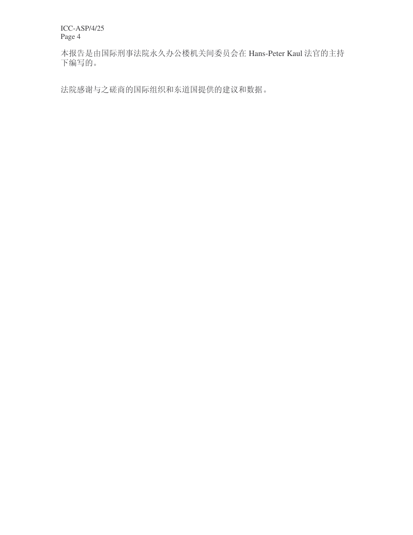本报告是由国际刑事法院永久办公楼机关间委员会在 Hans-Peter Kaul 法官的主持 下编写的。

法院感谢与之磋商的国际组织和东道国提供的建议和数据。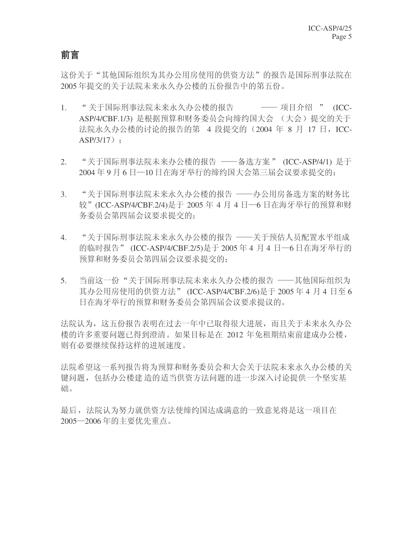#### 前言

这份关于"其他国际组织为其办公用房使用的供资方法"的报告是国际刑事法院在 2005年提交的关于法院未来永久办公楼的五份报告中的第五份。

- 1. "关于国际刑事法院未来永久办公楼的报告 —— 项目介绍 " (ICC-ASP/4/CBF.1/3) 是根据预算和财务委员会向缔约国大会 (大会) 提交的关于 法院永久办公楼的讨论的报告的第 4 段提交的 (2004 年 8 月 17 日, ICC- $ASP/3/17$  :
- 2. "关于国际刑事法院未来办公楼的报告 ──备选方案 " (ICC-ASP/4/1) 是于 2004年9月6日─10日在海牙举行的缔约国大会第三届会议要求提交的;
- 3. "关于国际刑事法院未来永久办公楼的报告 ——办公用房备选方案的财务比 较" (ICC-ASP/4/CBF.2/4)是于 2005 年 4 月 4 日–6 日在海牙举行的预算和财 务委员会第四届会议要求提交的:
- 4. "关于国际刑事法院未来永久办公楼的报告 ——关于预估人员配置水平组成 的临时报告" (ICC-ASP/4/CBF.2/5)是于 2005 年 4 月 4 日—6 日在海牙举行的 预算和财务委员会第四届会议要求提交的:
- 5. 当前这一份"关于国际刑事法院未来永久办公楼的报告 ——其他国际组织为 其办公用房使用的供资方法" (ICC-ASP/4/CBF.2/6)是于 2005 年 4 月 4 日至 6 日在海牙举行的预算和财务委员会第四届会议要求提议的。

法院认为,这五份报告表明在过去一年中已取得很大进展,而且关于未来永久办公 楼的许多重要问题已得到澄清。如果目标是在 2012 年免租期结束前建成办公楼, 则有必要继续保持这样的进展速度。

法院希望这一系列报告将为预算和财务委员会和大会关于法院未来永久办公楼的关 键问题, 包括办公楼建造的适当供资方法问题的进一步深入讨论提供一个坚实基 础。

最后, 法院认为努力就供资方法使缔约国达成满意的一致意见将是这一项目在 2005<sup>-2006</sup>年的主要优先重点。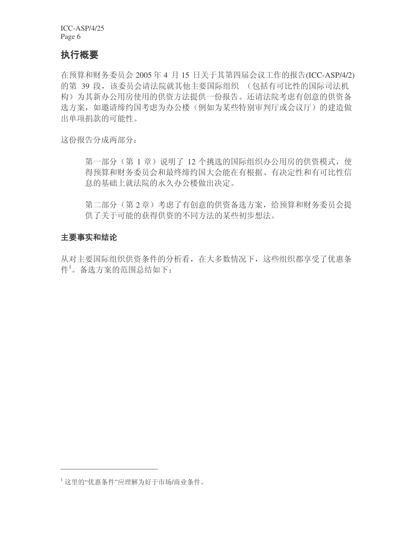#### 执行概要

在预算和财务委员会 2005 年 4 月 15 日关于其第四届会议工作的报告(ICC-ASP/4/2) 的第 39 段, 该委员会请法院就其他主要国际组织 (包括有可比性的国际司法机 构)为其新办公用房使用的供资方法提供一份报告。还请法院考虑有创意的供资备 选方案, 如邀请缔约国考虑为办公楼(例如为某些特别审判厅或会议厅)的建造做 出单项捐款的可能性。

这份报告分成两部分:

第一部分(第1章)说明了12个挑选的国际组织办公用房的供资模式,使 得预算和财务委员会和最终缔约国大会能在有根据、有决定性和有可比性信 息的基础上就法院的永久办公楼做出决定。

第二部分(第2章)考虑了有创意的供资备选方案,给预算和财务委员会提 供了关于可能的获得供资的不同方法的某些初步想法。

#### 主要事实和结论

从对主要国际组织供资条件的分析看, 在大多数情况下, 这些组织都享受了优惠条  $\mathfrak{f}^1$ 。备选方案的范围总结如下:

<sup>1</sup> 这里的"优惠条件"应理解为好于市场/商业条件。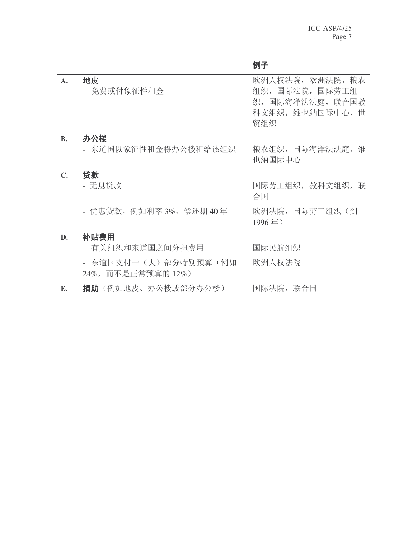| $\mathbf{A}$ . | 地皮<br>- 免费或付象征性租金                         | 欧洲人权法院,欧洲法院,粮农<br>组织, 国际法院, 国际劳工组<br>织,国际海洋法法庭,联合国教<br>科文组织, 维也纳国际中心, 世<br>贸组织 |
|----------------|-------------------------------------------|--------------------------------------------------------------------------------|
| <b>B.</b>      | 办公楼<br>- 东道国以象征性租金将办公楼租给该组织               | 粮农组织,国际海洋法法庭,维<br>也纳国际中心                                                       |
| $\mathbb{C}$ . | 贷款<br>- 无息贷款                              | 国际劳工组织,教科文组织,联<br>合国                                                           |
|                | - 优惠贷款, 例如利率 3%, 偿还期 40年                  | 欧洲法院, 国际劳工组织(到<br>1996年)                                                       |
| D.             | 补贴费用<br>- 有关组织和东道国之间分担费用                  | 国际民航组织                                                                         |
|                | - 东道国支付一(大)部分特别预算(例如<br>24%,而不是正常预算的 12%) | 欧洲人权法院                                                                         |
| Е.             | <b>捐助</b> (例如地皮、办公楼或部分办公楼)                | 国际法院,联合国                                                                       |

## 例子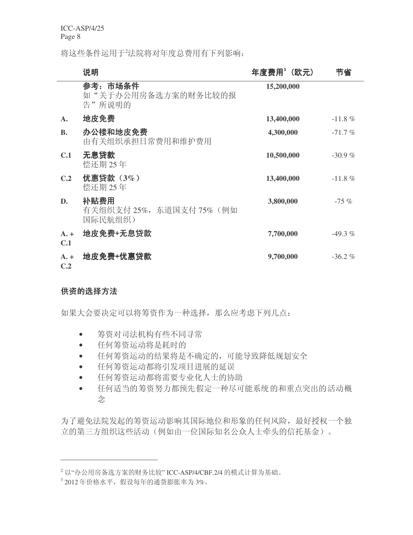将这些条件运用于2法院将对年度总费用有下列影响:

|                      | 说明                                           | 年度费用"(欧元)  | 节省        |
|----------------------|----------------------------------------------|------------|-----------|
|                      | 参考:市场条件<br>如"关于办公用房备选方案的财务比较的报<br>告"所说明的     | 15,200,000 |           |
| A.                   | 地皮免费                                         | 13,400,000 | $-11.8\%$ |
| <b>B.</b>            | 办公楼和地皮免费<br>由有关组织承担日常费用和维护费用                 | 4,300,000  | $-71.7%$  |
| C.1                  | 无息贷款<br>偿还期 25年                              | 10,500,000 | $-30.9%$  |
| C.2                  | 优惠贷款 $(3\%)$<br>偿还期 25年                      | 13,400,000 | $-11.8\%$ |
| D.                   | 补贴费用<br>有关组织支付 25%, 东道国支付 75% (例如<br>国际民航组织) | 3,800,000  | $-75%$    |
| $A_{\cdot}$ +<br>C.1 | 地皮免费+无息贷款                                    | 7,700,000  | $-49.3\%$ |
| $A. +$<br>C.2        | 地皮免费+优惠贷款                                    | 9,700,000  | $-36.2%$  |

#### 供资的选择方法

如果大会要决定可以将筹资作为一种选择, 那么应考虑下列几点:

- 筹资对司法机构有些不同寻常
- 任何筹资运动将是耗时的
- 任何筹资运动的结果将是不确定的,可能导致降低规划安全
- 任何筹资运动都将引发项目进展的延误
- 任何筹资运动都将需要专业化人士的协助
- 任何适当的筹资努力都预先假定一种尽可能系统的和重点突出的活动概 念

为了避免法院发起的筹资运动影响其国际地位和形象的任何风险,最好授权一个独 立的第三方组织这些活动(例如由一位国际知名公众人士牵头的信托基金)。

 $2$  以"办公用房备选方案的财务比较" ICC-ASP/4/CBF.2/4 的模式计算为基础。

<sup>3 2012</sup>年价格水平, 假设每年的通货膨胀率为 3%。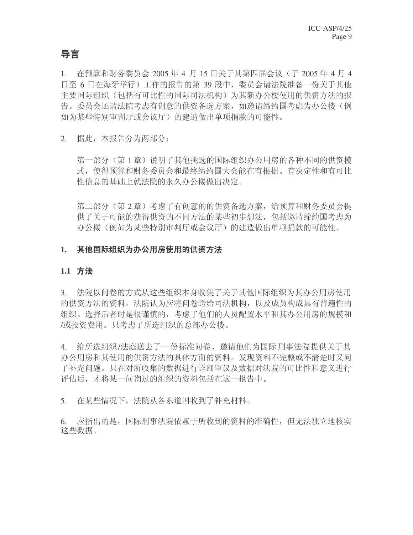#### 导言

1. 在预算和财务委员会 2005 年 4 月 15 日关于其第四届会议(于 2005 年 4 月 4 日至 6 日在海牙举行) 工作的报告的第 39 段中, 委员会请法院准备一份关于其他 主要国际组织(包括有可比性的国际司法机构)为其新办公楼使用的供资方法的报 告。委员会还请法院考虑有创意的供资备选方案, 如邀请缔约国考虑为办公楼(例 如为某些特别审判厅或会议厅)的建造做出单项捐款的可能性。

2. 据此,本报告分为两部分:

第一部分(第1章)说明了其他挑选的国际组织办公用房的各种不同的供资模 式, 使得预算和财务委员会和最终缔约国大会能在有根据、有决定性和有可比 性信息的基础上就法院的永久办公楼做出决定。

第二部分(第2章)考虑了有创意的的供资备选方案,给预算和财务委员会提 供了关于可能的获得供资的不同方法的某些初步想法,包括邀请缔约国考虑为 办公楼(例如为某些特别审判厅或会议厅)的建造做出单项捐款的可能性。

#### 1. 其他国际组织为办公用房使用的供资方法

#### 1.1 方法

3. 法院以问卷的方式从这些组织本身收集了关于其他国际组织为其办公用房使用 的供资方法的资料。法院认为应将问卷送给司法机构,以及成员构成具有普遍性的 组织。选择后者时是很谨慎的,考虑了他们的人员配置水平和其办公用房的规模和 /或投资费用。只考虑了所选组织的总部办公楼。

4. 给所选组织/法庭送去了一份标准问卷, 邀请他们为国际刑事法院提供关于其 办公用房和其使用的供资方法的具体方面的资料。发现资料不完整或不清楚时又问 了补充问题。只在对所收集的数据进行详细审议及数据对法院的可比性和意义进行 评估后,才将某一问询过的组织的资料包括在这一报告中。

5. 在某些情况下,法院从各东道国收到了补充材料。

6. 应指出的是, 国际刑事法院依赖于所收到的资料的准确性, 但无法独立地核实 这些数据。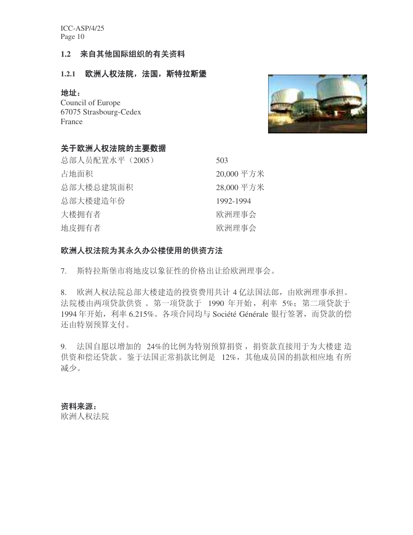#### 1.2 来自其他国际组织的有关资料

#### 1.2.1 欧洲人权法院,法国,斯特拉斯堡

#### 地址:

Council of Europe 67075 Strasbourg-Cedex France

## 关于欧洲人权法院的主要数据

| 总部人员配置水平 (2005) | 503        |
|-----------------|------------|
| 占地面积            | 20,000 平方米 |
| 总部大楼总建筑面积       | 28,000 平方米 |
| 总部大楼建造年份        | 1992-1994  |
| 大楼拥有者           | 欧洲理事会      |
| 地皮拥有者           | 欧洲理事会      |
|                 |            |

#### 欧洲人权法院为其永久办公楼使用的供资方法

7. 斯特拉斯堡市将地皮以象征性的价格出让给欧洲理事会。

8. 欧洲人权法院总部大楼建造的投资费用共计 4 亿法国法郎, 由欧洲理事承担。 法院楼由两项贷款供资。第一项贷款于 1990 年开始, 利率 5%; 第二项贷款于 1994 年开始, 利率 6.215%。各项合同均与 Société Générale 银行签署, 而贷款的偿 还由特别预算支付。

9. 法国自愿以增加的 24%的比例为特别预算捐资, 捐资款直接用于为大楼建 造 供资和偿还贷款。鉴于法国正常捐款比例是 12%, 其他成员国的捐款相应地 有所 减少。

#### 资料来源:

欧洲人权法院

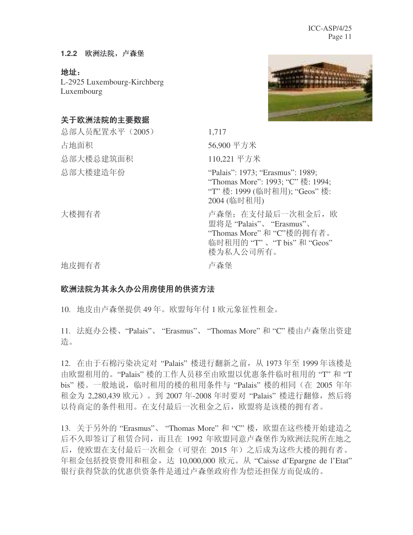#### 1.2.2 欧洲法院, 卢森堡

地址:

L-2925 Luxembourg-Kirchberg Luxembourg

### 关于欧洲法院的主要数据



总部人员配置水平 (2005) 1.717 ऴഄ䴶⿃ 56,900 ᑇᮍ㉇ 总部大楼总建筑面积 110,221 平方米 总部大楼建造年份 "Palais": 1973: "Erasmus": 1989: "Thomas More": 1993; "C" 楼: 1994; "T" 楼: 1999 (临时租用); "Geos" 楼: 2004 (临时租用) 大楼拥有者 不可以 的复数 医产生子宫 计杂量;在支付最后一次租金后,欧 盟将是"Palais"、"Erasmus"、 "Thomas More" 和 "C"楼的拥有者。 临时租用的"T"、"T bis"和"Geos" 楼为私人公司所有。 地皮拥有者 きょうしょう きょうかい 卢森堡

#### 欧洲法院为其永久办公用房使用的供资方法

10. 地皮由卢森堡提供 49 年。欧盟每年付 1 欧元象征性租金。

11. 法庭办公楼、"Palais"、"Erasmus"、"Thomas More" 和 "C" 楼由卢森堡出资建 造。

12. 在由于石棉污染决定对 "Palais" 楼进行翻新之前, 从 1973 年至 1999 年该楼是 由欧盟租用的。"Palais" 楼的工作人员移至由欧盟以优惠条件临时租用的"T"和"T bis" 楼。一般地说, 临时租用的楼的租用条件与"Palais" 楼的相同(在 2005 年年 租金为 2,280,439 欧元)。到 2007 年-2008 年时要对 "Palais" 楼进行翻修, 然后将 以待商定的条件租用。在支付最后一次租金之后, 欧盟将是该楼的拥有者。

13. 关于另外的"Erasmus"、"Thomas More"和"C"楼,欧盟在这些楼开始建造之 后不久即签订了租赁合同,而且在 1992 年欧盟同意卢森堡作为欧洲法院所在地之 后, 使欧盟在支付最后一次租金(可望在 2015 年) 之后成为这些大楼的拥有者。 年租金包括投资费用和租金, 达 10,000,000 欧元。从 "Caisse d'Epargne de l'Etat" 银行获得贷款的优惠供资条件是通过卢森堡政府作为偿还担保方而促成的。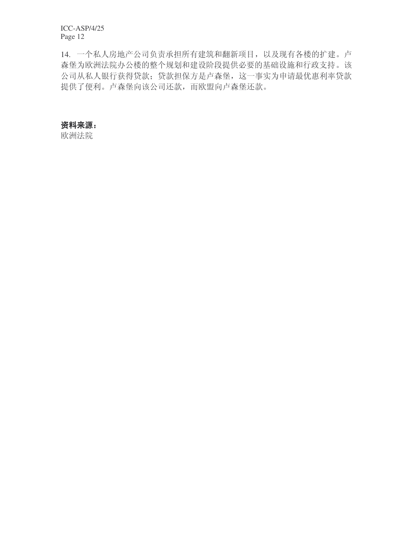14. 一个私人房地产公司负责承担所有建筑和翻新项目, 以及现有各楼的扩建。卢 森堡为欧洲法院办公楼的整个规划和建设阶段提供必要的基础设施和行政支持。该 公司从私人银行获得贷款; 贷款担保方是卢森堡, 这一事实为申请最优惠利率贷款 提供了便利。卢森堡向该公司还款, 而欧盟向卢森堡还款。

#### 资料来源:

欧洲法院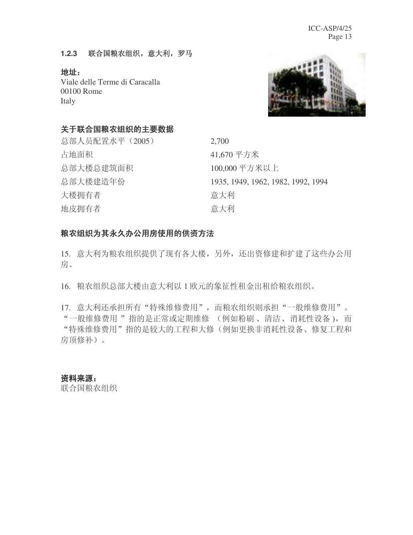#### **1.2.3** 㘨ড়㊂ݰ㒘㒛ˈᛣ߽ˈ㔫偀

**地址:** Viale delle Terme di Caracalla 00100 Rome Italy



#### 关于联合国粮农组织的主要数据

| 总部人员配置水平 (2005) | 2,700                              |
|-----------------|------------------------------------|
| 占地面积            | 41,670 平方米                         |
| 总部大楼总建筑面积       | 100,000 平方米以上                      |
| 总部大楼建造年份        | 1935, 1949, 1962, 1982, 1992, 1994 |
| 大楼拥有者           | 意大利                                |
| 地皮拥有者           | 意大利                                |

### 粮农组织为其永久办公用房使用的供资方法

15. 意大利为粮农组织提供了现有各大楼,另外,还出资修建和扩建了这些办公用 房。

16. 粮农组织总部大楼由意大利以 1 欧元的象征性租金出租给粮农组织。

17. 意大利还承担所有"特殊维修费用", 而粮农组织则承担"一般维修费用"。 "一般维修费用"指的是正常或定期维修 (例如粉刷、清洁、消耗性设备), 而 "特殊维修费用"指的是较大的工程和大修(例如更换非消耗性设备、修复工程和 房顶修补)。

#### 资料来源:

联合国粮农组织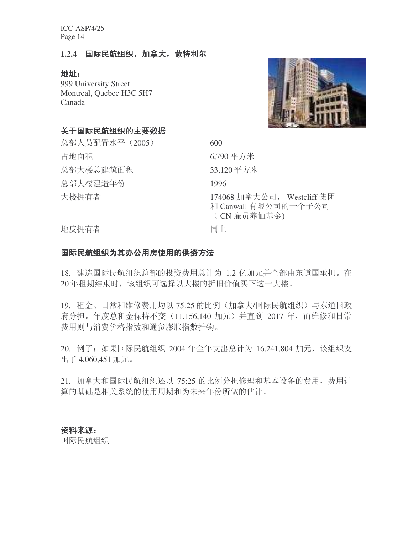#### 1.2.4 国际民航组织, 加拿大, 蒙特利尔

地址:

999 University Street Montreal, Quebec H3C 5H7 Canada



#### 关于国际民航组织的主要数据

总部人员配置水平 (2005) 600 占地面积 6,790 平方米 总部大楼总建筑面积 33,120 平方米 总部大楼建造年份 1996

ὐᢹ᳝㗙 174068 ࡴᣓ݀ৌˈ Westcliff 䲚ಶ 和 Canwall 有限公司的一个子公司 (CN 雇员养恤基金)

地皮拥有者 インフィッシュ 同上

#### 国际民航组织为其办公用房使用的供资方法

18. 建造国际民航组织总部的投资费用总计为 1.2 亿加元并全部由东道国承担。在 20 年租期结束时, 该组织可选择以大楼的折旧价值买下这一大楼。

19. 租金、日常和维修费用均以 75:25 的比例(加拿大/国际民航组织)与东道国政 府分担。年度总租金保持不变 (11,156,140 加元) 并直到 2017 年, 而维修和日常 费用则与消费价格指数和通货膨胀指数挂钩。

20. 例子: 如果国际民航组织 2004 年全年支出总计为 16,241,804 加元, 该组织支 出了 4,060,451 加元。

21. 加拿大和国际民航组织还以 75:25 的比例分担修理和基本设备的费用, 费用计 算的基础是相关系统的使用周期和为未来年份所做的估计。

#### 资料来源:

国际民航组织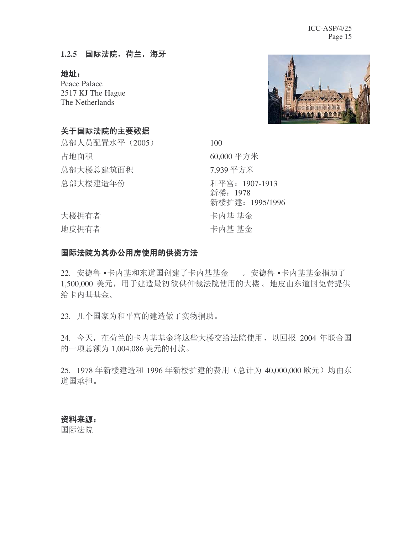#### 1.2.5 国际法院, 荷兰, 海牙

地址:

Peace Palace 2517 KJ The Hague The Netherlands



#### 关于国际法院的主要数据

总部人员配置水平 (2005) 100 占地面积 60,000 平方米 总部大楼总建筑面积 7.939 平方米 ᘏ䚼ὐᓎ䗴ᑈӑ ᑇᅿ˖1907-1913

新楼: 1978 新楼扩建: 1995/1996 大楼拥有者 おおおし おおおし おおおし 卡内基 基金 地皮拥有者 医心包的 医心包 计内基 基金

#### 国际法院为其办公用房使用的供资方法

22. 安德鲁 •卡内基和东道国创建了卡内基基金 。 安德鲁 •卡内基基金捐助了 1,500,000 美元, 用于建造最初欲供仲裁法院使用的大楼。地皮由东道国免费提供 给卡内基基金。

23. 几个国家为和平宫的建造做了实物捐助。

24. 今天, 在荷兰的卡内基基金将这些大楼交给法院使用, 以回报 2004 年联合国 的一项总额为 1,004,086 美元的付款。

25. 1978 年新楼建造和 1996 年新楼扩建的费用(总计为 40,000,000 欧元) 均由东 道国承担。

#### 资料来源:

国际法院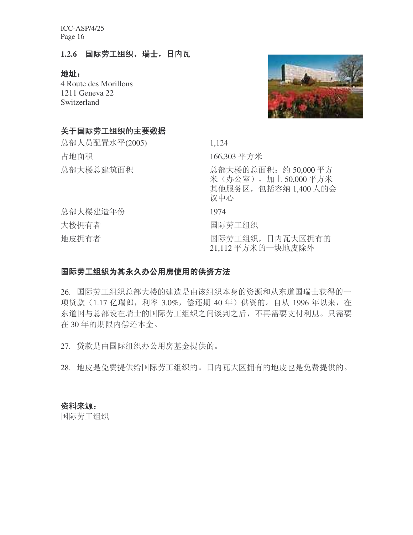#### 1.2.6 国际劳工组织,瑞士,日内瓦

地址:

4 Route des Morillons 1211 Geneva 22 Switzerland



#### 关于国际劳工组织的主要数据

| 总部人员配置水平(2005) | 1,124                                                                       |
|----------------|-----------------------------------------------------------------------------|
| 占地面积           | 166,303 平方米                                                                 |
| 总部大楼总建筑面积      | 总部大楼的总面积: 约 50,000平方<br>米(办公室), 加上50,000平方米<br>其他服务区, 包括容纳 1,400 人的会<br>议中心 |
| 总部大楼建造年份       | 1974                                                                        |
| 大楼拥有者          | 国际劳工组织                                                                      |
| 地皮拥有者          | 国际劳工组织,日内瓦大区拥有的<br>21,112平方米的一块地皮除外                                         |

#### 国际劳工组织为其永久办公用房使用的供资方法

26. 国际劳工组织总部大楼的建造是由该组织本身的资源和从东道国瑞士获得的一 项贷款 (1.17 亿瑞郎, 利率 3.0%, 偿还期 40 年) 供资的。自从 1996 年以来, 在 东道国与总部设在瑞士的国际劳工组织之间谈判之后,不再需要支付利息。只需要 在 30 年的期限内偿还本金。

27. 贷款是由国际组织办公用房基金提供的。

28. 地皮是免费提供给国际劳工组织的。日内瓦大区拥有的地皮也是免费提供的。

#### 资料来源:

国际劳工组织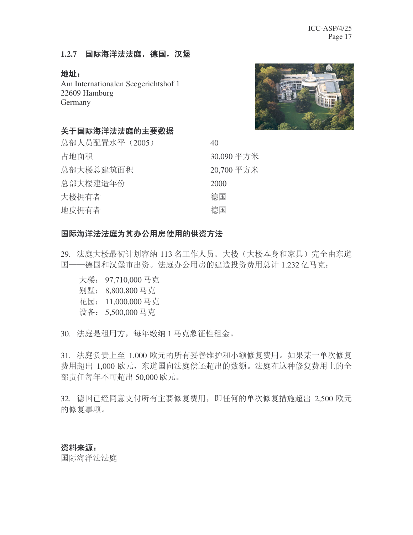#### 1.2.7 国际海洋法法庭, 德国, 汉堡

#### 地址:

Am Internationalen Seegerichtshof 1 22609 Hamburg Germany



#### 关于国际海洋法法庭的主要数据

| 总部人员配置水平 (2005) | 40         |
|-----------------|------------|
| 占地面积            | 30,090 平方米 |
| 总部大楼总建筑面积       | 20,700 平方米 |
| 总部大楼建造年份        | 2000       |
| 大楼拥有者           | 德国         |
| 地皮拥有者           | 德国         |
|                 |            |

#### 国际海洋法法庭为其办公用房使用的供资方法

29. 法庭大楼最初计划容纳 113 名工作人员。大楼(大楼本身和家具) 完全由东道 国——德国和汉堡市出资。法庭办公用房的建造投资费用总计 1.232 亿马克:

- 大楼: 97,710,000 马克
- 别墅: 8,800,800马克
- 花园: 11,000,000 马克
- 设备: 5,500,000 马克

30. 法庭是租用方, 每年缴纳 1 马克象征性租金。

31. 法庭负责上至 1,000 欧元的所有妥善维护和小额修复费用。如果某一单次修复 费用超出 1,000 欧元, 东道国向法庭偿还超出的数额。法庭在这种修复费用上的全 部责任每年不可超出 50,000 欧元。

32. 德国已经同意支付所有主要修复费用, 即任何的单次修复措施超出 2,500 欧元 的修复事项。

#### 资料来源:

国际海洋法法庭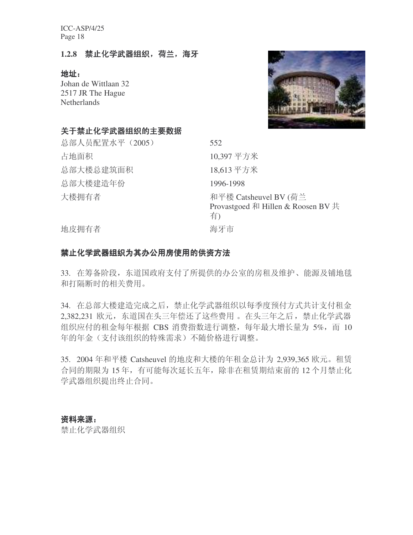#### 1.2.8 禁止化学武器组织, 荷兰, 海牙

#### 地址:

Johan de Wittlaan 32 2517 JR The Hague **Netherlands** 

#### 关于禁止化学武器组织的主要数据



#### 禁止化学武器组织为其办公用房使用的供资方法

33. 在筹备阶段, 东道国政府支付了所提供的办公室的房租及维护、能源及铺地毯 和打隔断时相关费用。

34. 在总部大楼建造完成之后, 禁止化学武器组织以每季度预付方式共计支付租金 2,382,231 欧元, 东道国在头三年偿还了这些费用。在头三年之后, 禁止化学武器 组织应付的租金每年根据 CBS 消费指数进行调整, 每年最大增长量为 5%, 而 10 年的年金(支付该组织的特殊需求)不随价格进行调整。

35. 2004 年和平楼 Catsheuvel 的地皮和大楼的年租金总计为 2,939,365 欧元。租赁 合同的期限为15年, 有可能每次延长五年, 除非在租赁期结束前的12个月禁止化 学武器组织提出终止合同。

#### 资料来源:

禁止化学武器组织

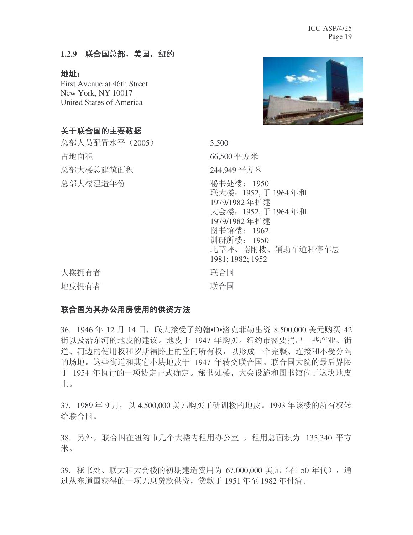#### 1.2.9 联合国总部, 美国, 纽约

地址:

First Avenue at 46th Street New York, NY 10017 United States of America



#### 关于联合国的主要数据

总部人员配置水平 (2005) 3,500 占地面积 66,500 平方米 总部大楼总建筑面积 **244.949 平方米** 总部大楼建造年份 秘书处楼: 1950 联大楼: 1952, 于 1964 年和 1979/1982年扩建 大会楼: 1952, 于 1964年和 1979/1982年扩建 图书馆楼: 1962 训研所楼: 1950 北草坪、南附楼、辅助车道和停车层 1981; 1982; 1952 大楼拥有者 おおおし おおし 联合国 地皮拥有者 有效的 医心包 联合国

#### 联合国为其办公用房使用的供资方法

36. 1946 年 12 月 14 日,联大接受了约翰•D•洛克菲勒出资 8,500,000 美元购买 42 街以及沿东河的地皮的建议。地皮于 1947 年购买。纽约市需要捐出一些产业、街 道、河边的使用权和罗斯福路上的空间所有权,以形成一个完整、连接和不受分隔 的场地。这些街道和其它小块地皮于 1947 年转交联合国。联合国大院的最后界限 于 1954 年执行的一项协定正式确定。秘书处楼、大会设施和图书馆位于这块地皮  $\mathsf{L}_{\circ}$ 

37. 1989年9月, 以 4.500,000 美元购买了研训楼的地皮。1993 年该楼的所有权转 给联合国。

38. 另外, 联合国在纽约市几个大楼内租用办公室, 租用总面积为 135,340 平方 米。

39. 秘书处、联大和大会楼的初期建造费用为 67,000,000 美元 (在 50 年代), 通 过从东道国获得的一项无息贷款供资, 贷款于 1951年至 1982年付清。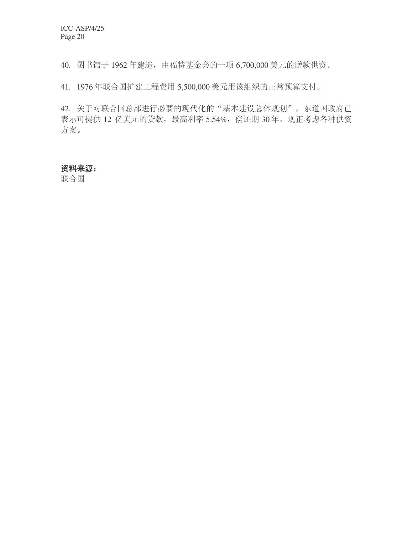40. 图书馆于 1962年建造, 由福特基金会的一项 6,700,000 美元的赠款供资。

41. 1976年联合国扩建工程费用 5,500,000 美元用该组织的正常预算支付。

42. 关于对联合国总部进行必要的现代化的"基本建设总体规划", 东道国政府已 表示可提供 12 亿美元的贷款, 最高利率 5.54%, 偿还期 30年。现正考虑各种供资 方案。

#### 资料来源:

联合国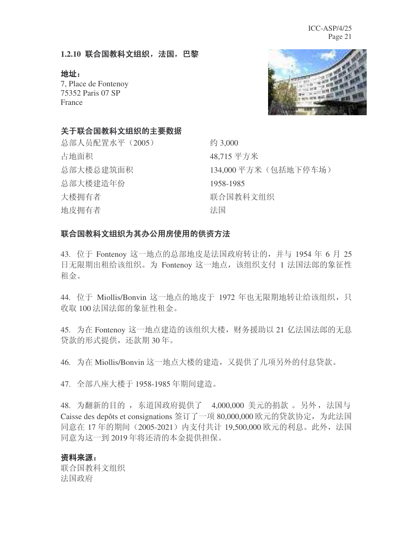#### 1.2.10 联合国教科文组织, 法国, 巴黎

地址:

7, Place de Fontenoy 75352 Paris 07 SP France



#### 关于联合国教科文组织的主要数据

总部人员配置水平 (2005) 约 3,000 占地面积 48,715 平方米 总部大楼总建筑面积 134,000 平方米(包括地下停车场) 总部大楼建造年份 1958-1985 大楼拥有者 联合国教科文组织 地皮拥有者 キャンチ キャンチ 法国

#### 联合国教科文组织为其办公用房使用的供资方法

43. 位于 Fontenoy 这一地点的总部地皮是法国政府转让的, 并与 1954 年 6 月 25 日无限期出租给该组织。为 Fontenoy 这一地点, 该组织支付 1 法国法郎的象征性 租金。

44. 位于 Miollis/Bonvin 这一地点的地皮于 1972 年也无限期地转让给该组织, 只 收取 100 法国法郎的象征性租金。

45. 为在 Fontenoy 这一地点建造的该组织大楼, 财务援助以 21 亿法国法郎的无息 贷款的形式提供,还款期30年。

46. 为在 Miollis/Bonvin 这一地点大楼的建造, 又提供了几项另外的付息贷款。

47. 全部八座大楼于 1958-1985 年期间建造。

48. 为翻新的目的, 东道国政府提供了 4,000,000 美元的捐款。另外, 法国与 Caisse des depôts et consignations 签订了一项 80,000,000 欧元的贷款协定, 为此法国 同意在 17 年的期间 (2005-2021) 内支付共计 19,500,000 欧元的利息。此外,法国 同意为这一到 2019 年将还清的本金提供担保。

#### 资料来源:

联合国教科文组织 法国政府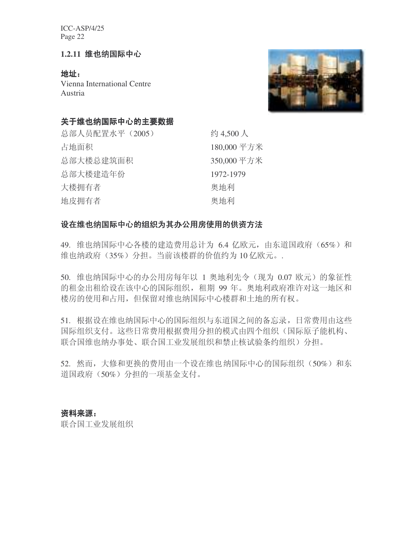#### 1.2.11 维也纳国际中心

地址: Vienna International Centre Austria



#### 关于维也纳国际中心的主要数据

总部人员配置水平 (2005) 94,500 人 占地面积 180,000 平方米 总部大楼总建筑面积 350,000 平方米 总部大楼建造年份<br>
1972-1979 大楼拥有者 おおおし こうしょう 奥地利 地皮拥有者 有一种的 医血管 医地利

#### 设在维也纳国际中心的组织为其办公用房使用的供资方法

49. 维也纳国际中心各楼的建造费用总计为 6.4 亿欧元, 由东道国政府 (65%) 和 维也纳政府 (35%) 分担。当前该楼群的价值约为10 亿欧元。.

50. 维也纳国际中心的办公用房每年以 1 奥地利先令 (现为 0.07 欧元) 的象征性 的租金出租给设在该中心的国际组织, 租期 99 年。奥地利政府准许对这一地区和 楼房的使用和占用, 但保留对维也纳国际中心楼群和土地的所有权。

51. 根据设在维也纳国际中心的国际组织与东道国之间的备忘录, 日常费用由这些 国际组织支付。这些日常费用根据费用分担的模式由四个组织(国际原子能机构、 联合国维也纳办事处、联合国工业发展组织和禁止核试验条约组织)分担。

52. 然而, 大修和更换的费用由一个设在维也纳国际中心的国际组织 (50%) 和东 道国政府(50%)分担的一项基金支付。

#### 资料来源:

联合国工业发展组织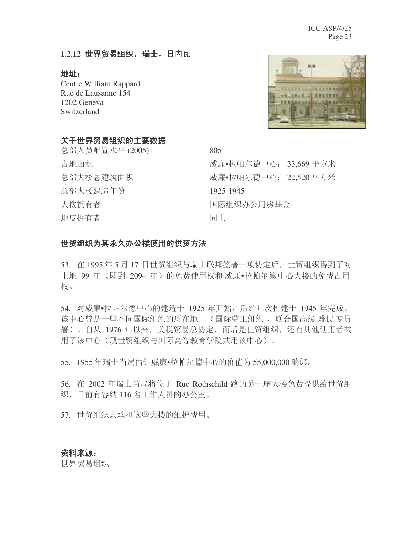#### 1.2.12 世界贸易组织, 瑞士, 日内瓦

地址:

Centre William Rappard Rue de Lausanne 154 1202 Geneva Switzerland

![](_page_22_Picture_4.jpeg)

#### 关于世界贸易组织的主要数据

总部人员配置水平 (2005) 805 ᘏ䚼ὐᓎ䗴ᑈӑ 1925-1945 大楼拥有者 有一种 医二十二十一 国际组织办公用房基金 地皮拥有者 有一个人的人 同上

占地面积 威廉•拉帕尔德中心: 33,669 平方米 总部大楼总建筑面积<br> **□ 威廉•**拉帕尔德中心: 22.520 平方米

#### 世贸组织为其永久办公楼使用的供资方法

53. 在1995年5月17日世贸组织与瑞士联邦签署一项协定后,世贸组织得到了对 土地 99年 (即到 2094年)的免费使用权和威廉•拉帕尔德中心大楼的免费占用 权。

54. 对威廉•拉帕尔德中心的建造于 1925 年开始, 后经几次扩建于 1945 年完成。 该中心曾是一些不同国际组织的所在地。(国际劳工组织, 联合国高级 难民 专员 署)。自从 1976 年以来, 关税贸易总协定, 而后是世贸组织, 还有其他使用者共 用了该中心(现世贸组织与国际高等教育学院共用该中心)。

55. 1955 年瑞士当局估计威廉•拉帕尔德中心的价值为 55,000,000 瑞郎。

56. 在 2002 年瑞士当局将位于 Rue Rothschild 路的另一座大楼免费提供给世贸组 织,目前有容纳116名工作人员的办公室。

57. 世贸组织只承担这些大楼的维护费用。

#### 资料来源:

世界贸易组织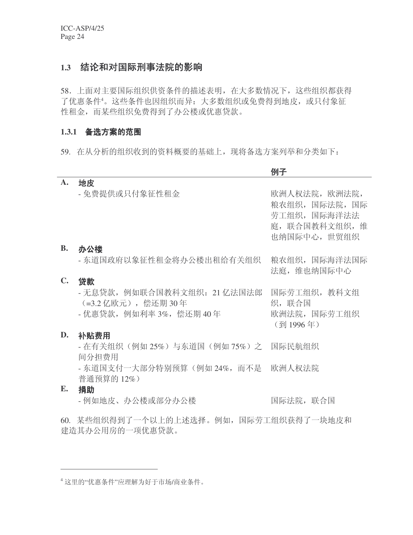#### 1.3 结论和对国际刑事法院的影响

58. 上面对主要国际组织供资条件的描述表明, 在大多数情况下, 这些组织都获得 了优惠条件4。这些条件也因组织而异:大多数组织或免费得到地皮,或只付象征 性租金,而某些组织免费得到了办公楼或优惠贷款。

#### 1.3.1 备选方案的范围

59. 在从分析的组织收到的资料概要的基础上, 现将备选方案列举和分类如下:

|                |                                                                                                      | 例子                                                                              |
|----------------|------------------------------------------------------------------------------------------------------|---------------------------------------------------------------------------------|
| A.             | 地皮                                                                                                   |                                                                                 |
|                | - 免费提供或只付象征性租金                                                                                       | 欧洲人权法院, 欧洲法院,<br>粮农组织,国际法院,国际<br>劳工组织, 国际海洋法法<br>庭, 联合国教科文组织, 维<br>也纳国际中心, 世贸组织 |
| <b>B.</b>      | 办公楼                                                                                                  |                                                                                 |
|                | - 东道国政府以象征性租金将办公楼出租给有关组织                                                                             | 粮农组织, 国际海洋法国际<br>法庭, 维也纳国际中心                                                    |
| $\mathbf{C}$ . | 贷款                                                                                                   |                                                                                 |
|                | - 无息贷款,例如联合国教科文组织:21 亿法国法郎 国际劳工组织,教科文组<br>(=3.2 亿欧元), 偿还期 30年<br>- 优惠贷款, 例如利率 3%, 偿还期 40年            | 织, 联合国<br>欧洲法院, 国际劳工组织<br>(到1996年)                                              |
| D.             | 补贴费用                                                                                                 |                                                                                 |
|                | - 在有关组织(例如 25%)与东道国(例如 75%)之 国际民航组织<br>间分担费用                                                         |                                                                                 |
|                | - 东道国支付一大部分特别预算(例如 24%,而不是 欧洲人权法院<br>普通预算的12%)                                                       |                                                                                 |
| E.             | 捐助                                                                                                   |                                                                                 |
|                | - 例如地皮、办公楼或部分办公楼                                                                                     | 国际法院, 联合国                                                                       |
|                | المستوفى والمرابين والمراوي والمراوي والمنافي المستنقل المستنقل المتواصل والمراوي والمراوية والمراوي |                                                                                 |

60. 某些组织得到了一个以上的上述选择。例如,国际劳工组织获得了一块地皮和 建造其办公用房的一项优惠贷款。

<sup>4</sup> 这里的"优惠条件"应理解为好于市场/商业条件。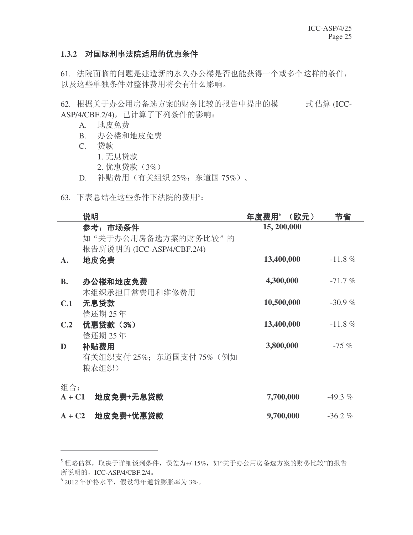#### 1.3.2 对国际刑事法院适用的优惠条件

61. 法院面临的问题是建造新的永久办公楼是否也能获得一个或多个这样的条件, 以及这些单独条件对整体费用将会有什么影响。

62. 根据关于办公用房备选方案的财务比较的报告中提出的模 式估算 (ICC-ASP/4/CBF.2/4), 已计算了下列条件的影响:

- A. 地皮免费
- B. 办公楼和地皮免费
- C. 贷款
	- 1. 无息贷款
	- 2. 优惠贷款 (3%)
- D. 补贴费用 (有关组织 25%; 东道国 75%)。
- 63. 下表总结在这些条件下法院的费用5:

|                 | 说明                                                            | 年度费用 $^{\circ}$<br>(欧元) | 节省         |
|-----------------|---------------------------------------------------------------|-------------------------|------------|
|                 | 参考: 市场条件<br>如"关于办公用房备选方案的财务比较"的<br>报告所说明的 (ICC-ASP/4/CBF.2/4) | 15, 200,000             |            |
| А.              | 地皮免费                                                          | 13,400,000              | $-11.8 \%$ |
| <b>B.</b>       | 办公楼和地皮免费<br>本组织承担日常费用和维修费用                                    | 4,300,000               | $-71.7%$   |
| C.1             | 无息贷款<br>偿还期 25年                                               | 10,500,000              | $-30.9%$   |
| C.2             | 优惠贷款 (3%)<br>偿还期 25年                                          | 13,400,000              | $-11.8 \%$ |
| D               | 补贴费用<br>有关组织支付 25%; 东道国支付 75% (例如<br>粮农组织)                    | 3,800,000               | $-75\%$    |
| 组合:<br>$A + C1$ | 地皮免费+无息贷款                                                     | 7,700,000               | $-49.3\%$  |
| $A + C2$        | 地皮免费+优惠贷款                                                     | 9,700,000               | $-36.2%$   |

6 2012年价格水平, 假设每年通货膨胀率为 3%。

<sup>5</sup> 粗略估算, 取决于详细谈判条件, 误差为+/-15%, 如"关于办公用房备选方案的财务比较"的报告 所说明的, ICC-ASP/4/CBF.2/4。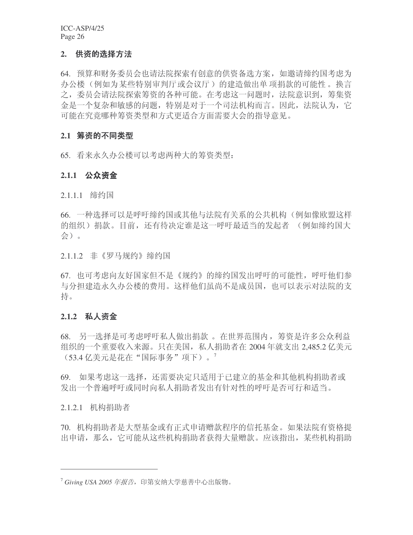#### 2. 供资的选择方法

64. 预算和财务委员会也请法院探索有创意的供资备选方案, 如邀请缔约国考虑为 办公楼(例如为某些特别审判厅或会议厅)的建造做出单 项捐款的可能性。换言 之,委员会请法院探索筹资的各种可能。在考虑这一问题时,法院意识到,筹集资 金是一个复杂和敏感的问题,特别是对于一个司法机构而言。因此,法院认为,它 可能在究竟哪种筹资类型和方式更适合方面需要大会的指导意见。

#### 2.1 筹资的不同类型

65. 看来永久办公楼可以考虑两种大的筹资类型:

#### 2.1.1 公众资金

2.1.1.1 缔约国

66. 一种选择可以是呼吁缔约国或其他与法院有关系的公共机构(例如像欧盟这样 的组织) 捐款。目前,还有待决定谁是这一呼吁最适当的发起者 (例如缔约国大 会)。

2.1.1.2 非《罗马规约》缔约国

67. 也可考虑向友好国家但不是《规约》的缔约国发出呼吁的可能性, 呼吁他们参 与分担建造永久办公楼的费用。这样他们虽尚不是成员国,也可以表示对法院的支 持。

#### 2.1.2 私人资金

68. 另一选择是可考虑呼吁私人做出捐款。在世界范围内, 筹资是许多公众利益 组织的一个重要收入来源。只在美国, 私人捐助者在 2004 年就支出 2.485.2 亿美元 (53.4 亿美元是花在"国际事务"项下)。7

69. 如果考虑这一选择,还需要决定只适用于已建立的基金和其他机构捐助者或 发出一个普遍呼吁或同时向私人捐助者发出有针对性的呼吁是否可行和适当。

2.1.2.1 机构捐助者

70. 机构捐助者是大型基金或有正式申请赠款程序的信托基金。如果法院有资格提 出申请, 那么, 它可能从这些机构捐助者获得大量赠款。应该指出, 某些机构捐助

<sup>&</sup>lt;sup>7</sup> Giving USA 2005 年报告, 印第安纳大学慈善中心出版物。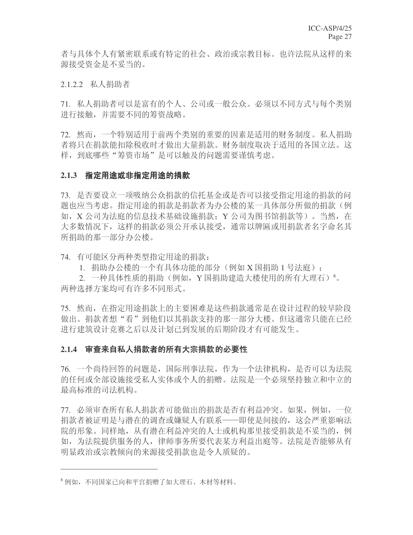者与具体个人有紧密联系或有特定的社会、政治或宗教目标。也许法院从这样的来 源接受资金是不妥当的。

2.1.2.2 私人捐助者

71. 私人捐助者可以是富有的个人、公司或一般公众。必须以不同方式与每个类别 进行接触,并需要不同的筹资战略。

72. 然而, 一个特别适用于前两个类别的重要的因素是适用的财务制度。私人捐助 者将只在捐款能扣除税收时才做出大量捐款。财务制度取决于适用的各国立法。这 样, 到底哪些"筹资市场"是可以触及的问题需要谨慎考虑。

#### 2.1.3 指定用途或非指定用途的捐款

73. 是否要设立一项吸纳公众捐款的信托基金或是否可以接受指定用途的捐款的问 题也应当考虑。指定用途的捐款是捐款者为办公楼的某一具体部分所做的捐款(例 如, X 公司为法庭的信息技术基础设施捐款: Y 公司为图书馆捐款等)。 当然, 在 大多数情况下,这样的捐款必须公开承认接受,通常以牌匾或用捐款者名字命名其 所捐助的那一部分办公楼。

74. 有可能区分两种类型指定用途的捐款:

1. 捐助办公楼的一个有具体功能的部分(例如 X 国捐助 1 号法庭);

2. 一种具体性质的捐助(例如, Y 国捐助建造大楼使用的所有大理石)<sup>8</sup>。 两种选择方案均可有许多不同形式。

75. 然而, 在指定用涂捐款上的主要困难是这些捐款通常是在设计过程的较早阶段 做出。捐款者想"看"到他们以其捐款支持的那一部分大楼。但这通常只能在已经 进行建筑设计竞赛之后以及计划已到发展的后期阶段才有可能发生。

#### 2.1.4 审查来自私人捐款者的所有大宗捐款的必要性

76. 一个尚待回答的问题是, 国际刑事法院, 作为一个法律机构, 是否可以为法院 的任何或全部设施接受私人实体或个人的捐赠。法院是一个必须坚持独立和中立的 最高标准的司法机构。

77. 必须审杳所有私人捐款者可能做出的捐款是否有利益冲突。如果,例如,一位 捐款者被证明是与潜在的调查或嫌疑人有联系——即使是间接的, 这会严重影响法 院的形象。同样地,从有潜在利益冲突的人士或机构那里接受捐款是不妥当的,例 如,为法院提供服务的人,律师事务所要代表某方利益出庭等。法院是否能够从有 明显政治或宗教倾向的来源接受捐款也是令人质疑的。

<sup>&</sup>lt;sup>8</sup> 例如, 不同国家已向和平宫捐赠了如大理石、木材等材料。